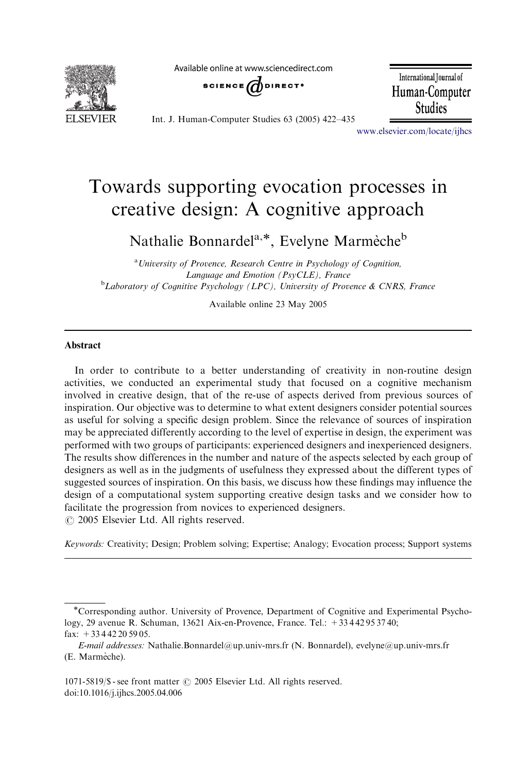**ELSEVIER** 

Available online at www.sciencedirect.com



International Journal of Human-Computer **Studies** 

Int. J. Human-Computer Studies 63 (2005) 422–435

www.elsevier.com/locate/ijhcs

# Towards supporting evocation processes in creative design: A cognitive approach

Nathalie Bonnardel<sup>a,\*</sup>, Evelyne Marmèche<sup>b</sup>

<sup>a</sup> University of Provence, Research Centre in Psychology of Cognition, Language and Emotion (PsyCLE), France <sup>b</sup>Laboratory of Cognitive Psychology (LPC), University of Provence & CNRS, France

Available online 23 May 2005

# Abstract

In order to contribute to a better understanding of creativity in non-routine design activities, we conducted an experimental study that focused on a cognitive mechanism involved in creative design, that of the re-use of aspects derived from previous sources of inspiration. Our objective was to determine to what extent designers consider potential sources as useful for solving a specific design problem. Since the relevance of sources of inspiration may be appreciated differently according to the level of expertise in design, the experiment was performed with two groups of participants: experienced designers and inexperienced designers. The results show differences in the number and nature of the aspects selected by each group of designers as well as in the judgments of usefulness they expressed about the different types of suggested sources of inspiration. On this basis, we discuss how these findings may influence the design of a computational system supporting creative design tasks and we consider how to facilitate the progression from novices to experienced designers.  $\odot$  2005 Elsevier Ltd. All rights reserved.

Keywords: Creativity; Design; Problem solving; Expertise; Analogy; Evocation process; Support systems

Corresponding author. University of Provence, Department of Cognitive and Experimental Psychology, 29 avenue R. Schuman, 13621 Aix-en-Provence, France. Tel.: +33 4 42 95 37 40; fax:  $+33442205905$ .

E-mail addresses: Nathalie.Bonnardel@up.univ-mrs.fr (N. Bonnardel), evelyne@up.univ-mrs.fr (E. Marmèche).

<sup>1071-5819/\$ -</sup> see front matter  $\odot$  2005 Elsevier Ltd. All rights reserved. doi:10.1016/j.ijhcs.2005.04.006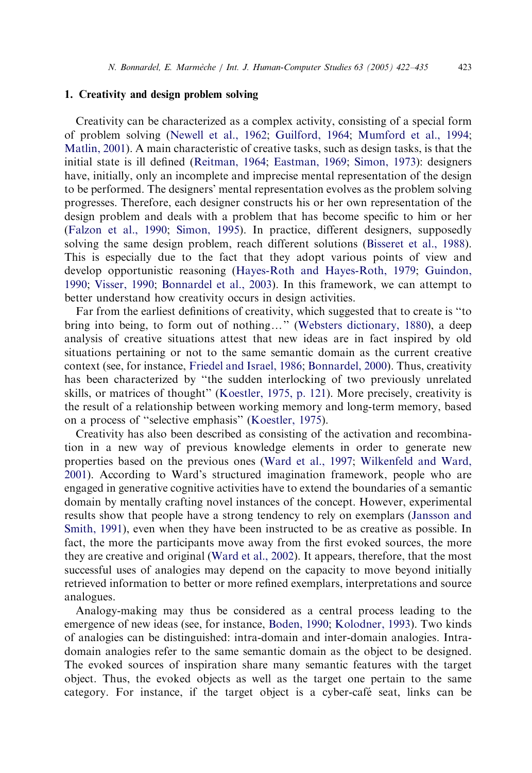### 1. Creativity and design problem solving

[Creativity](#page-12-0) can be characterized as a complex activity, consisting of a special form of problem solving (New[ell et al., 1962](#page-13-0); [Guilford, 1964](#page-12-0); [Mumford e](#page-13-0)t al., 1994; Matlin, 2001). A main characteristic of creative tasks, such as design tasks, is that the initial state is ill defined (Reitman, 1964; Eastman, 1969; Simon, 1973): designers have, initially, only an incomplete and imprecise mental representation of the design to be performed. The designers' mental representation evolves as the problem solving [progresses. Therefore](#page-12-0), [each designer](#page-13-0) constructs his or her own representation of the design problem and deals with a problem that has become [specific to him or he](#page-12-0)r (Falzon et al., 1990; Simon, 1995). In practice, different designers, supposedly solving the same design problem, [reach different solutions \(Bisseret et](#page-12-0) [al., 1988\).](#page-12-0) [This](#page-12-0) [is especially](#page-13-0) [due to the fact that t](#page-12-0)hey adopt various points of view and develop opportunistic reasoning (Hayes-Roth and Hayes-Roth, 1979; Guindon, 1990; Visser, 1990; Bonnardel et al., 2003). In this framework, we can attempt to better understand how creativity occurs in desi[gn activities.](#page-13-0)

Far from the earliest definitions of creativity, which suggested that to create is ''to bring into being, to form out of nothing..." (Websters dictionary, 1880), a deep analysis of creative situ[ations attest that new](#page-12-0) i[deas are in fact](#page-12-0) inspired by old situations pertaining or not to the same semantic domain as the current creative context (see, for instance, Fried[el and Israel, 1986;](#page-12-0) Bonnardel, 2000). Thus, creativity has been characterized by ''the sudden interlocking of two previously unrelated skills, or matrices of thought'' (Koestl[er, 1975, p. 121](#page-12-0)). More precisely, creativity is the result of a relationship between working memory and long-term memory, based on a process of ''selective emphasis'' (Koestler, 1975).

Creativity has also been described as [consisting of the ac](#page-13-0)t[ivation and recombina](#page-13-0)[tion](#page-13-0) in a new way of previous knowledge elements in order to generate new properties based on the previous ones (Ward et al., 1997; Wilkenfeld and Ward, 2001). According to Ward's structured imagination framework, people who are engaged in generative cognitive activities have to extend the boundaries [of a semantic](#page-12-0) [domain by m](#page-12-0)entally crafting novel instances of the concept. However, experimental results show that people have a strong tendency to rely on exemplars (Jansson and Smith, 1991), even when they [have been instruc](#page-13-0)ted to be as creative as possible. In fact, the more the participants move away from the first evoked sources, the more they are creative and original (Ward et al., 2002). It appears, therefore, that the most successful uses of analogies may depend on the capacity to move beyond initially retrieved information to better or more refined exemplars, interpretations and source analogues.

Analogy-making may thus be considered as a central process leading to the emergence of new ideas (see, for instance, Boden, 1990; Kolodner, 1993). Two kinds of analogies can be distinguished: intra-domain and inter-domain analogies. Intradomain analogies refer to the same semantic domain as the object to be designed. The evoked sources of inspiration share many semantic features with the target object. Thus, the evoked objects as well as the target one pertain to the same category. For instance, if the target object is a cyber-café seat, links can be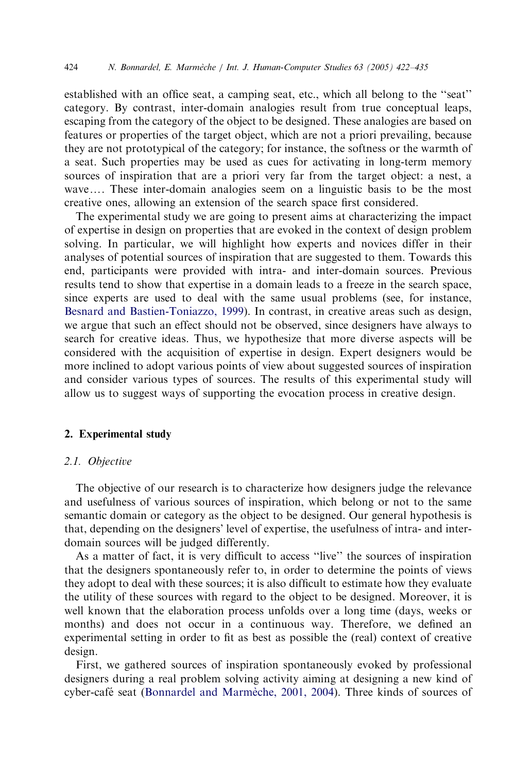established with an office seat, a camping seat, etc., which all belong to the ''seat'' category. By contrast, inter-domain analogies result from true conceptual leaps, escaping from the category of the object to be designed. These analogies are based on features or properties of the target object, which are not a priori prevailing, because they are not prototypical of the category; for instance, the softness or the warmth of a seat. Such properties may be used as cues for activating in long-term memory sources of inspiration that are a priori very far from the target object: a nest, a wave.... These inter-domain analogies seem on a linguistic basis to be the most creative ones, allowing an extension of the search space first considered.

The experimental study we are going to present aims at characterizing the impact of expertise in design on properties that are evoked in the context of design problem solving. In particular, we will highlight how experts and novices differ in their analyses of potential sources of inspiration that are suggested to them. Towards this end, participants were provided with intra- and inter-domain sources. Previous [results tend to show that expertise in](#page-11-0) a domain leads to a freeze in the search space, since experts are used to deal with the same usual problems (see, for instance, Besnard and Bastien-Toniazzo, 1999). In contrast, in creative areas such as design, we argue that such an effect should not be observed, since designers have always to search for creative ideas. Thus, we hypothesize that more diverse aspects will be considered with the acquisition of expertise in design. Expert designers would be more inclined to adopt various points of view about suggested sources of inspiration and consider various types of sources. The results of this experimental study will allow us to suggest ways of supporting the evocation process in creative design.

# 2. Experimental study

#### 2.1. Objective

The objective of our research is to characterize how designers judge the relevance and usefulness of various sources of inspiration, which belong or not to the same semantic domain or category as the object to be designed. Our general hypothesis is that, depending on the designers' level of expertise, the usefulness of intra- and interdomain sources will be judged differently.

As a matter of fact, it is very difficult to access ''live'' the sources of inspiration that the designers spontaneously refer to, in order to determine the points of views they adopt to deal with these sources; it is also difficult to estimate how they evaluate the utility of these sources with regard to the object to be designed. Moreover, it is well known that the elaboration process unfolds over a long time (days, weeks or months) and does not occur in a continuous way. Therefore, we defined an experimental setting in order to fit as best as possible the (real) context of creative design.

First, we gat[hered sources of inspiration spontaneou](#page-12-0)sly evoked by professional designers during a real problem solving activity aiming at designing a new kind of cyber-café seat (Bonnardel and Marmèche, 2001, 2004). Three kinds of sources of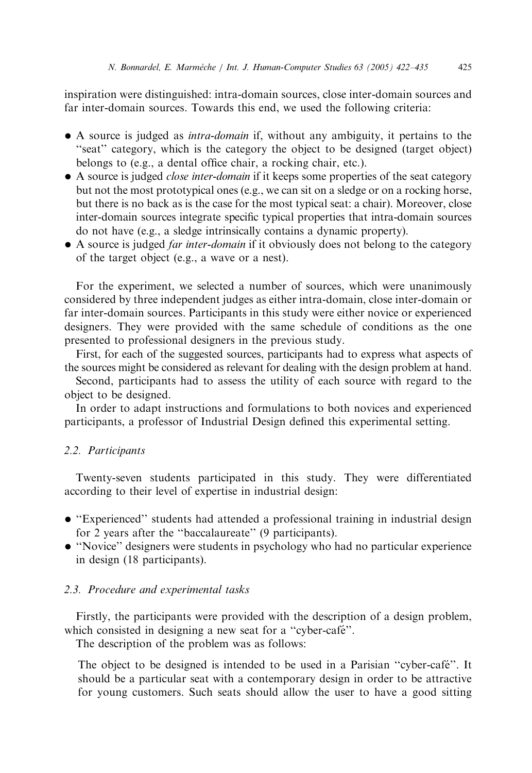inspiration were distinguished: intra-domain sources, close inter-domain sources and far inter-domain sources. Towards this end, we used the following criteria:

- A source is judged as intra-domain if, without any ambiguity, it pertains to the ''seat'' category, which is the category the object to be designed (target object) belongs to (e.g., a dental office chair, a rocking chair, etc.).
- A source is judged close inter-domain if it keeps some properties of the seat category but not the most prototypical ones (e.g., we can sit on a sledge or on a rocking horse, but there is no back as is the case for the most typical seat: a chair). Moreover, close inter-domain sources integrate specific typical properties that intra-domain sources do not have (e.g., a sledge intrinsically contains a dynamic property).
- A source is judged *far inter-domain* if it obviously does not belong to the category of the target object (e.g., a wave or a nest).

For the experiment, we selected a number of sources, which were unanimously considered by three independent judges as either intra-domain, close inter-domain or far inter-domain sources. Participants in this study were either novice or experienced designers. They were provided with the same schedule of conditions as the one presented to professional designers in the previous study.

First, for each of the suggested sources, participants had to express what aspects of the sources might be considered as relevant for dealing with the design problem at hand.

Second, participants had to assess the utility of each source with regard to the object to be designed.

In order to adapt instructions and formulations to both novices and experienced participants, a professor of Industrial Design defined this experimental setting.

#### 2.2. Participants

Twenty-seven students participated in this study. They were differentiated according to their level of expertise in industrial design:

- "Experienced" students had attended a professional training in industrial design for 2 years after the ''baccalaureate'' (9 participants).
- "Novice" designers were students in psychology who had no particular experience in design (18 participants).

#### 2.3. Procedure and experimental tasks

Firstly, the participants were provided with the description of a design problem, which consisted in designing a new seat for a "cyber-café".

The description of the problem was as follows:

The object to be designed is intended to be used in a Parisian ''cyber-cafe´''. It should be a particular seat with a contemporary design in order to be attractive for young customers. Such seats should allow the user to have a good sitting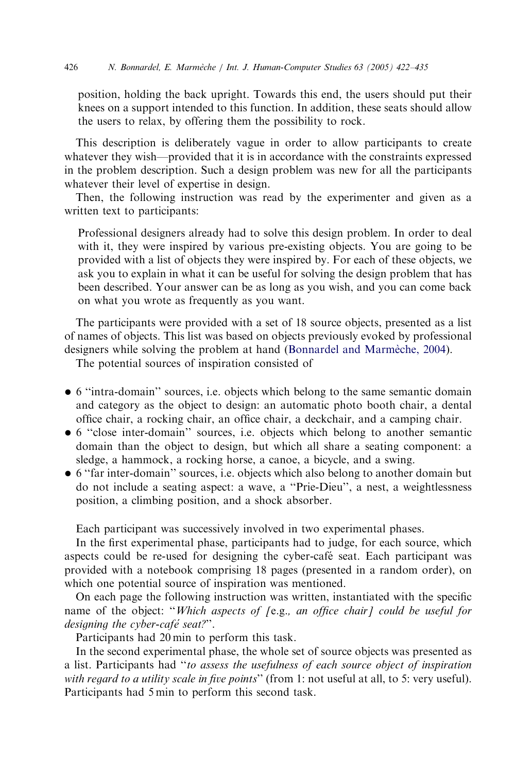position, holding the back upright. Towards this end, the users should put their knees on a support intended to this function. In addition, these seats should allow the users to relax, by offering them the possibility to rock.

This description is deliberately vague in order to allow participants to create whatever they wish—provided that it is in accordance with the constraints expressed in the problem description. Such a design problem was new for all the participants whatever their level of expertise in design.

Then, the following instruction was read by the experimenter and given as a written text to participants:

Professional designers already had to solve this design problem. In order to deal with it, they were inspired by various pre-existing objects. You are going to be provided with a list of objects they were inspired by. For each of these objects, we ask you to explain in what it can be useful for solving the design problem that has been described. Your answer can be as long as you wish, and you can come back on what you wrote as frequently as you want.

The participants were provided with a set o[f 18 source objects, presented as](#page-12-0) a list of names of objects. This list was based on objects previously evoked by professional designers while solving the problem at hand (Bonnardel and Marmèche, 2004).

The potential sources of inspiration consisted of

- 6 ''intra-domain'' sources, i.e. objects which belong to the same semantic domain and category as the object to design: an automatic photo booth chair, a dental office chair, a rocking chair, an office chair, a deckchair, and a camping chair.
- 6 ''close inter-domain'' sources, i.e. objects which belong to another semantic domain than the object to design, but which all share a seating component: a sledge, a hammock, a rocking horse, a canoe, a bicycle, and a swing.
- 6 ''far inter-domain'' sources, i.e. objects which also belong to another domain but do not include a seating aspect: a wave, a ''Prie-Dieu'', a nest, a weightlessness position, a climbing position, and a shock absorber.

Each participant was successively involved in two experimental phases.

In the first experimental phase, participants had to judge, for each source, which aspects could be re-used for designing the cyber-café seat. Each participant was provided with a notebook comprising 18 pages (presented in a random order), on which one potential source of inspiration was mentioned.

On each page the following instruction was written, instantiated with the specific name of the object: "Which aspects of [e.g., an office chair] could be useful for designing the cyber-café seat?".

Participants had 20 min to perform this task.

In the second experimental phase, the whole set of source objects was presented as a list. Participants had ''to assess the usefulness of each source object of inspiration with regard to a utility scale in five points" (from 1: not useful at all, to 5: very useful). Participants had 5 min to perform this second task.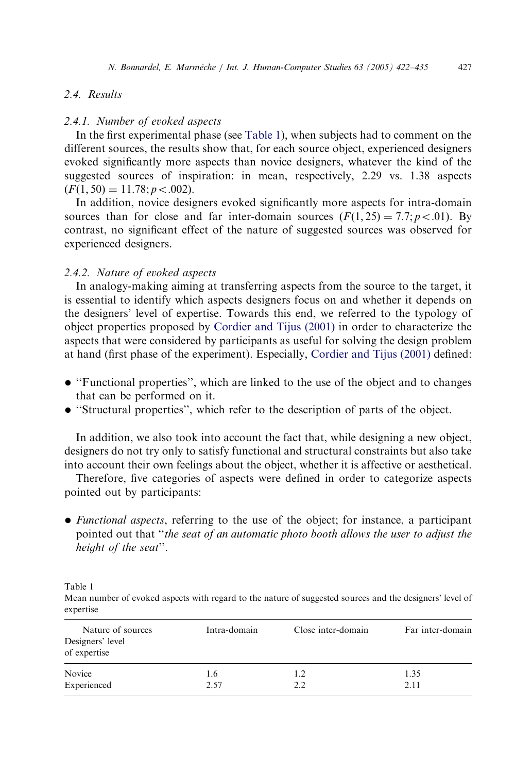# 2.4. Results

# 2.4.1. Number of evoked aspects

In the first experimental phase (see Table 1), when subjects had to comment on the different sources, the results show that, for each source object, experienced designers evoked significantly more aspects than novice designers, whatever the kind of the suggested sources of inspiration: in mean, respectively, 2.29 vs. 1.38 aspects  $(F(1, 50) = 11.78; p < .002)$ .

In addition, novice designers evoked significantly more aspects for intra-domain sources than for close and far inter-domain sources  $(F(1, 25) = 7.7; p < .01)$ . By contrast, no significant effect of the nature of suggested sources was observed for experienced designers.

# 2.4.2. Nature of evoked aspects

In analogy-making aiming at transferring aspects from the source to the target, it is essential to identify which a[spects designers focus on](#page-12-0) and whether it depends on the designers' level of expertise. Towards this end, we referred to the typology of object properties proposed by Cordier and Tijus (2001) [in order to charact](#page-12-0)erize the aspects that were considered by participants as useful for solving the design problem at hand (first phase of the experiment). Especially, Cordier and Tijus (2001) defined:

- ''Functional properties'', which are linked to the use of the object and to changes that can be performed on it.
- ''Structural properties'', which refer to the description of parts of the object.

In addition, we also took into account the fact that, while designing a new object, designers do not try only to satisfy functional and structural constraints but also take into account their own feelings about the object, whether it is affective or aesthetical.

Therefore, five categories of aspects were defined in order to categorize aspects pointed out by participants:

 Functional aspects, referring to the use of the object; for instance, a participant pointed out that "the seat of an automatic photo booth allows the user to adjust the height of the seat''.

| Nature of sources<br>Designers' level<br>of expertise | Intra-domain | Close inter-domain | Far inter-domain |
|-------------------------------------------------------|--------------|--------------------|------------------|
| Novice                                                | 1.6          | 1.2                | 1.35             |
| Experienced                                           | 2.57         | 22                 | 2.11             |

Table 1 Mean number of evoked aspects with regard to the nature of suggested sources and the designers' level of expertise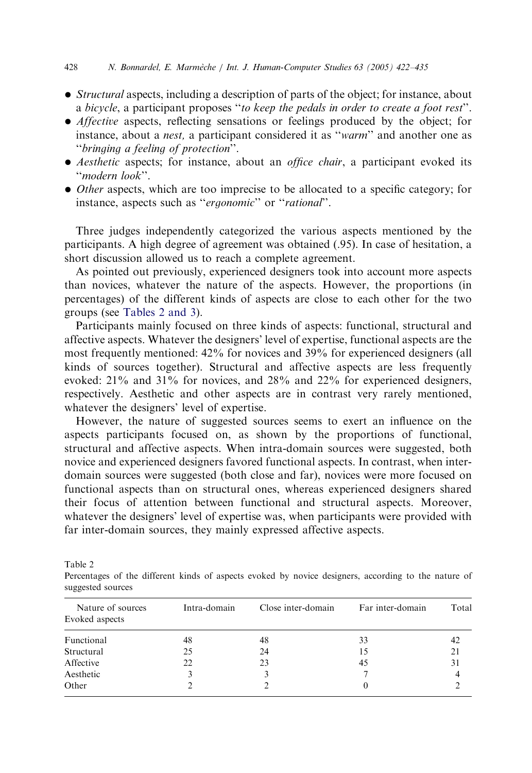- *Structural* aspects, including a description of parts of the object; for instance, about a bicycle, a participant proposes ''to keep the pedals in order to create a foot rest''.
- Affective aspects, reflecting sensations or feelings produced by the object; for instance, about a nest, a participant considered it as ''warm'' and another one as ''bringing a feeling of protection''.
- *Aesthetic* aspects; for instance, about an *office chair*, a participant evoked its ''modern look''.
- Other aspects, which are too imprecise to be allocated to a specific category; for instance, aspects such as ''ergonomic'' or ''rational''.

Three judges independently categorized the various aspects mentioned by the participants. A high degree of agreement was obtained (.95). In case of hesitation, a short discussion allowed us to reach a complete agreement.

As pointed out previously, experienced designers took into account more aspects than novices, whatever the nature of the aspects. However, the proportions (in percentages) of the different kinds of aspects are close to each other for the two groups (see Tables 2 and 3).

Participants mainly focused on three kinds of aspects: functional, structural and affective aspects. Whatever the designers' level of expertise, functional aspects are the most frequently mentioned: 42% for novices and 39% for experienced designers (all kinds of sources together). Structural and affective aspects are less frequently evoked: 21% and 31% for novices, and 28% and 22% for experienced designers, respectively. Aesthetic and other aspects are in contrast very rarely mentioned, whatever the designers' level of expertise.

However, the nature of suggested sources seems to exert an influence on the aspects participants focused on, as shown by the proportions of functional, structural and affective aspects. When intra-domain sources were suggested, both novice and experienced designers favored functional aspects. In contrast, when interdomain sources were suggested (both close and far), novices were more focused on functional aspects than on structural ones, whereas experienced designers shared their focus of attention between functional and structural aspects. Moreover, whatever the designers' level of expertise was, when participants were provided with far inter-domain sources, they mainly expressed affective aspects.

| ые<br>4. |  |
|----------|--|
|----------|--|

Percentages of the different kinds of aspects evoked by novice designers, according to the nature of suggested sources

| Nature of sources<br>Evoked aspects | Intra-domain | Close inter-domain | Far inter-domain | Total |
|-------------------------------------|--------------|--------------------|------------------|-------|
| Functional                          | 48           | 48                 | 33               | 42    |
| Structural                          | 25           | 24                 | 15               | 21    |
| Affective                           | 22           | 23                 | 45               | 31    |
| Aesthetic                           |              |                    |                  |       |
| Other                               |              |                    |                  |       |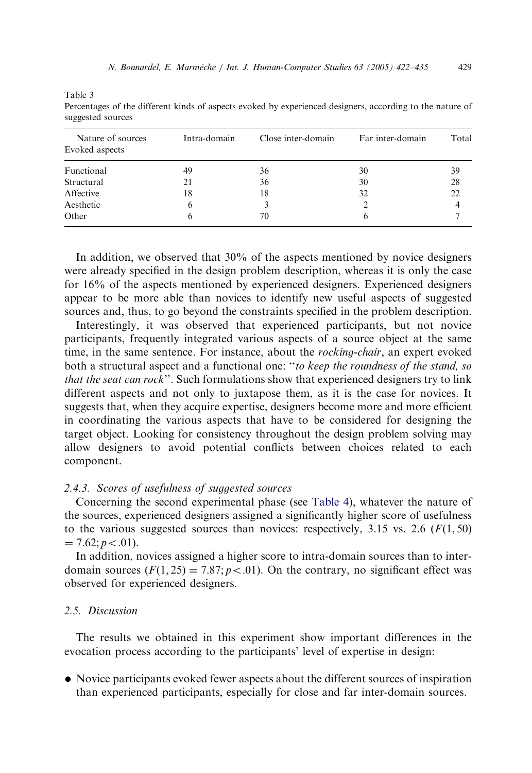Table 3

Percentages of the different kinds of aspects evoked by experienced designers, according to the nature of suggested sources

| Nature of sources<br>Evoked aspects | Intra-domain | Close inter-domain | Far inter-domain | Total |
|-------------------------------------|--------------|--------------------|------------------|-------|
| Functional                          | 49           | 36                 | 30               | 39    |
| Structural                          | 21           | 36                 | 30               | 28    |
| Affective                           | 18           | 18                 | 32               | 22    |
| Aesthetic                           | O            |                    |                  |       |
| Other                               |              | 70                 |                  |       |

In addition, we observed that 30% of the aspects mentioned by novice designers were already specified in the design problem description, whereas it is only the case for 16% of the aspects mentioned by experienced designers. Experienced designers appear to be more able than novices to identify new useful aspects of suggested sources and, thus, to go beyond the constraints specified in the problem description.

Interestingly, it was observed that experienced participants, but not novice participants, frequently integrated various aspects of a source object at the same time, in the same sentence. For instance, about the *rocking-chair*, an expert evoked both a structural aspect and a functional one: "to keep the roundness of the stand, so that the seat can rock''. Such formulations show that experienced designers try to link different aspects and not only to juxtapose them, as it is the case for novices. It suggests that, when they acquire expertise, designers become more and more efficient in coordinating the various aspects that have to be considered for designing the target object. Looking for consistency throughout the design problem solving may allow designers to avoid potential conflicts between choices related to each component.

# 2.4.3. Scores of usefulness of suggested sources

Concerning the second experimental phase (see Table 4), whatever the nature of the sources, experienced designers assigned a significantly higher score of usefulness to the various suggested sources than novices: respectively, 3.15 vs. 2.6  $(F(1, 50))$  $= 7.62; p < .01$ 

In addition, novices assigned a higher score to intra-domain sources than to interdomain sources  $(F(1, 25) = 7.87; p < .01)$ . On the contrary, no significant effect was observed for experienced designers.

# 2.5. Discussion

The results we obtained in this experiment show important differences in the evocation process according to the participants' level of expertise in design:

 Novice participants evoked fewer aspects about the different sources of inspiration than experienced participants, especially for close and far inter-domain sources.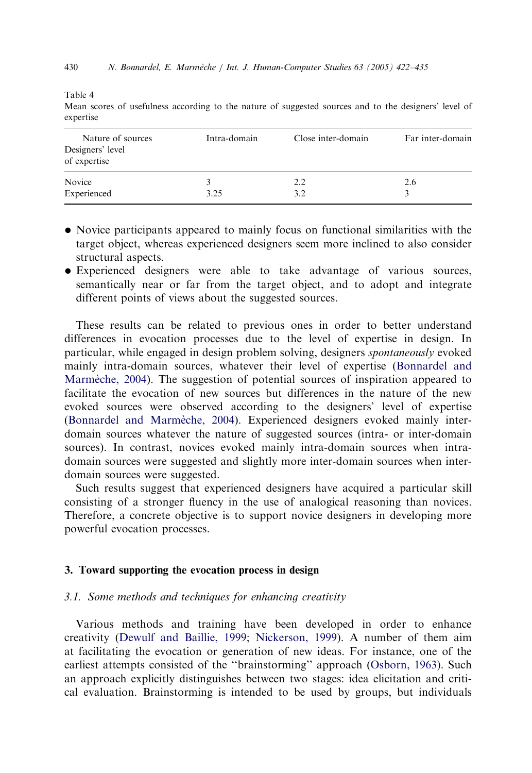Table 4

Mean scores of usefulness according to the nature of suggested sources and to the designers' level of expertise

| Nature of sources<br>Designers' level<br>of expertise | Intra-domain | Close inter-domain | Far inter-domain |
|-------------------------------------------------------|--------------|--------------------|------------------|
| Novice<br>Experienced                                 | 3.25         | 2.2                | 2.6              |

- Novice participants appeared to mainly focus on functional similarities with the target object, whereas experienced designers seem more inclined to also consider structural aspects.
- Experienced designers were able to take advantage of various sources, semantically near or far from the target object, and to adopt and integrate different points of views about the suggested sources.

These results can be related to previous ones in order to better understand differences in evocation processes due to the level of expertis[e in design. In](#page-12-0) [particular, while](#page-12-0) engaged in design problem solving, designers spontaneously evoked mainly intra-domain sources, whatever their level of expertise (Bonnardel and Marmèche, 2004). The suggestion of potential sources of inspiration appeared to [facilitate the evocation of new so](#page-12-0)urces but differences in the nature of the new evoked sources were observed according to the designers' level of expertise (Bonnardel and Marmèche, 2004). Experienced designers evoked mainly interdomain sources whatever the nature of suggested sources (intra- or inter-domain sources). In contrast, novices evoked mainly intra-domain sources when intradomain sources were suggested and slightly more inter-domain sources when interdomain sources were suggested.

Such results suggest that experienced designers have acquired a particular skill consisting of a stronger fluency in the use of analogical reasoning than novices. Therefore, a concrete objective is to support novice designers in developing more powerful evocation processes.

# 3. Toward supporting the evocation process in design

# 3.1. Some methods and techniques for enhancing creativity

Various methods and training have been developed in order to enhance creativity (Dewulf and Baillie, 1999; Nickerson, 1999). A [number of the](#page-13-0)m aim at facilitating the evocation or generation of new ideas. For instance, one of the earliest attempts consisted of the ''brainstorming'' approach (Osborn, 1963). Such an approach explicitly distinguishes between two stages: idea elicitation and critical evaluation. Brainstorming is intended to be used by groups, but individuals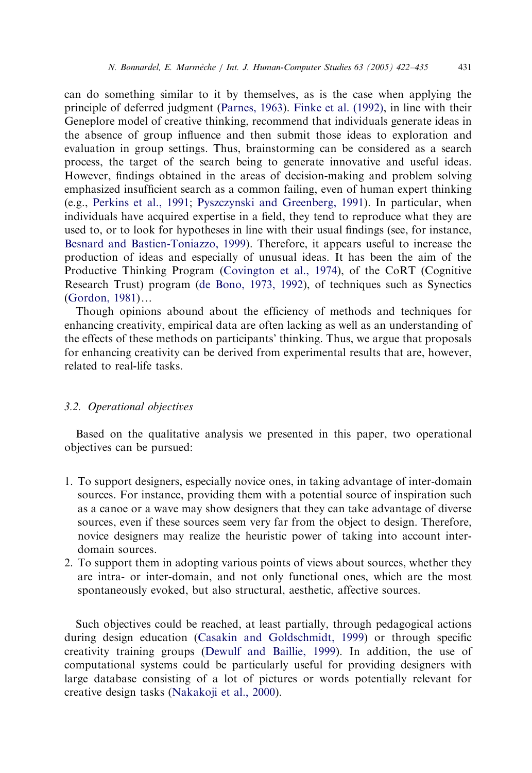can do something similar to it by themselves, as is the case when applying the principle of deferred judgment (Parnes, 1963). Finke et al. (1992), in line with their Geneplore model of creative thinking, recommend that individuals generate ideas in the absence of group influence and then submit those ideas to exploration and evaluation in group settings. Thus, brainstorming can be considered as a search process, the target of the search being to generate innovative and useful ideas. Howe[ver, findings obtain](#page-13-0)e[d in the areas of decision-making](#page-13-0) and problem solving emphasized insufficient search as a common failing, even of human expert thinking (e.g., Perkins et al., 1991; Pyszczynski and Greenberg, 1991). In particular, when [individuals have acquired expertise in](#page-11-0) a field, they tend to reproduce what they are used to, or to look for hypotheses in line with their usual findings (see, for instance, Besnard and Bastien-Toniazzo, [1999\). Therefore, it app](#page-12-0)ears useful to increase the production of ideas and e[specially of unusual i](#page-12-0)deas. It has been the aim of the [Productive Thi](#page-12-0)nking Program (Covington et al., 1974), of the CoRT (Cognitive Research Trust) program (de Bono, 1973, 1992), of techniques such as Synectics  $(Gordon, 1981)$ ...

Though opinions abound about the efficiency of methods and techniques for enhancing creativity, empirical data are often lacking as well as an understanding of the effects of these methods on participants' thinking. Thus, we argue that proposals for enhancing creativity can be derived from experimental results that are, however, related to real-life tasks.

# 3.2. Operational objectives

Based on the qualitative analysis we presented in this paper, two operational objectives can be pursued:

- 1. To support designers, especially novice ones, in taking advantage of inter-domain sources. For instance, providing them with a potential source of inspiration such as a canoe or a wave may show designers that they can take advantage of diverse sources, even if these sources seem very far from the object to design. Therefore, novice designers may realize the heuristic power of taking into account interdomain sources.
- 2. To support them in adopting various points of views about sources, whether they are intra- or inter-domain, and not only functional ones, which are the most spontaneously evoked, but also structural, aesthetic, affective sources.

Such objectives could be r[eached, at least partially, t](#page-12-0)hrough pedagogical actions during design education (Casakin and Goldschmidt, 1999) or through specific creativity training groups (Dewulf and Baillie, 1999). In addition, the use of computational syste[ms could be particula](#page-12-0)rly useful for providing designers with large database consisting of a lot of pictures or words potentially relevant for creative design tasks (Nakakoji et al., 2000).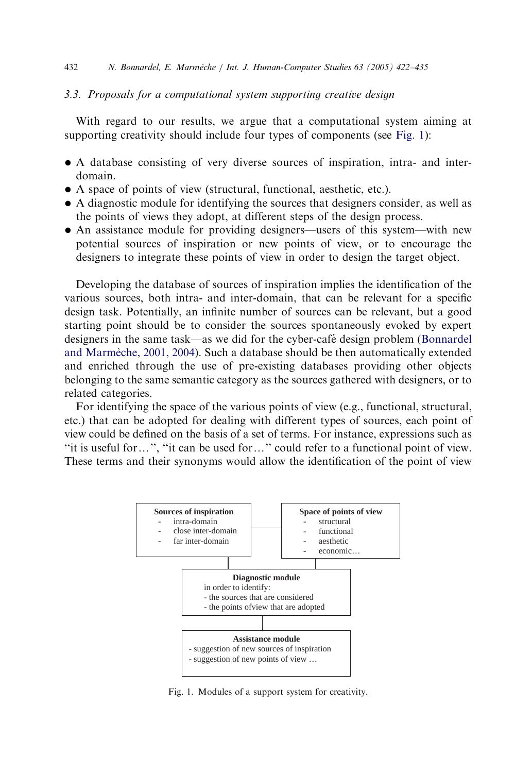## 3.3. Proposals for a computational system supporting creative design

With regard to our results, we argue that a computational system aiming at supporting creativity should include four types of components (see Fig. 1):

- A database consisting of very diverse sources of inspiration, intra- and interdomain.
- A space of points of view (structural, functional, aesthetic, etc.).
- A diagnostic module for identifying the sources that designers consider, as well as the points of views they adopt, at different steps of the design process.
- An assistance module for providing designers—users of this system—with new potential sources of inspiration or new points of view, or to encourage the designers to integrate these points of view in order to design the target object.

Developing the database of sources of inspiration implies the identification of the various sources, both intra- and inter-domain, that can be relevant for a specific design task. Potentially, an infinite number of sources can be relevant, [but a good](#page-12-0) [starting point should be to](#page-12-0) consider the sources spontaneously evoked by expert designers in the same task—as we did for the cyber-cafe´ design problem (Bonnardel and Marme`che, 2001, 2004). Such a database should be then automatically extended and enriched through the use of pre-existing databases providing other objects belonging to the same semantic category as the sources gathered with designers, or to related categories.

For identifying the space of the various points of view (e.g., functional, structural, etc.) that can be adopted for dealing with different types of sources, each point of view could be defined on the basis of a set of terms. For instance, expressions such as "it is useful for ...", "it can be used for ..." could refer to a functional point of view. These terms and their synonyms would allow the identification of the point of view



Fig. 1. Modules of a support system for creativity.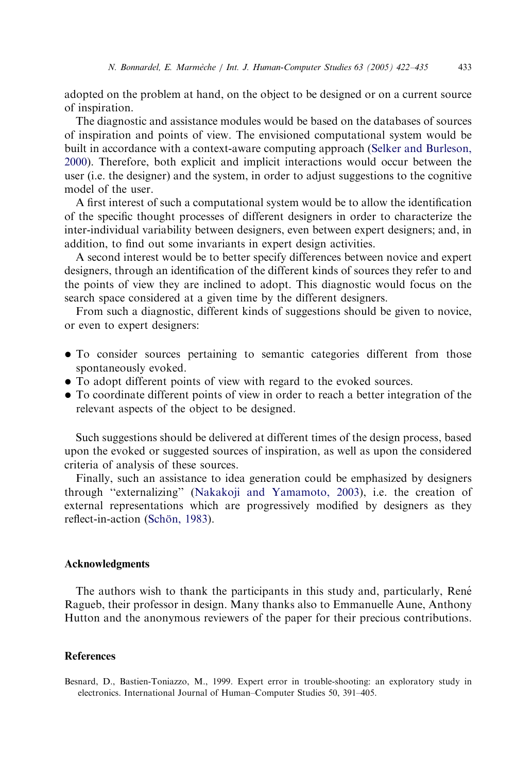<span id="page-11-0"></span>adopted on the problem at hand, on the object to be designed or on a current source of inspiration.

The diagnostic and assistance modules would be based on the [databases of sources](#page-13-0) [of in](#page-13-0)spiration and points of view. The envisioned computational system would be built in accordance with a context-aware computing approach (Selker and Burleson, 2000). Therefore, both explicit and implicit interactions would occur between the user (i.e. the designer) and the system, in order to adjust suggestions to the cognitive model of the user.

A first interest of such a computational system would be to allow the identification of the specific thought processes of different designers in order to characterize the inter-individual variability between designers, even between expert designers; and, in addition, to find out some invariants in expert design activities.

A second interest would be to better specify differences between novice and expert designers, through an identification of the different kinds of sources they refer to and the points of view they are inclined to adopt. This diagnostic would focus on the search space considered at a given time by the different designers.

From such a diagnostic, different kinds of suggestions should be given to novice, or even to expert designers:

- To consider sources pertaining to semantic categories different from those spontaneously evoked.
- To adopt different points of view with regard to the evoked sources.
- To coordinate different points of view in order to reach a better integration of the relevant aspects of the object to be designed.

Such suggestions should be delivered at different times of the design process, based upon the evoked or suggested sources of inspiration, as well as upon the considered criteria of analysis of thes[e sources.](#page-12-0)

Finally, such an assistance to idea generation could be emphasized by designers through ''extern[alizing'' \(Na](#page-13-0)kakoji and Yamamoto, 2003), i.e. the creation of external representations which are progressively modified by designers as they reflect-in-action (Schön, 1983).

# Acknowledgments

The authors wish to thank the participants in this study and, particularly, René Ragueb, their professor in design. Many thanks also to Emmanuelle Aune, Anthony Hutton and the anonymous reviewers of the paper for their precious contributions.

### References

Besnard, D., Bastien-Toniazzo, M., 1999. Expert error in trouble-shooting: an exploratory study in electronics. International Journal of Human–Computer Studies 50, 391–405.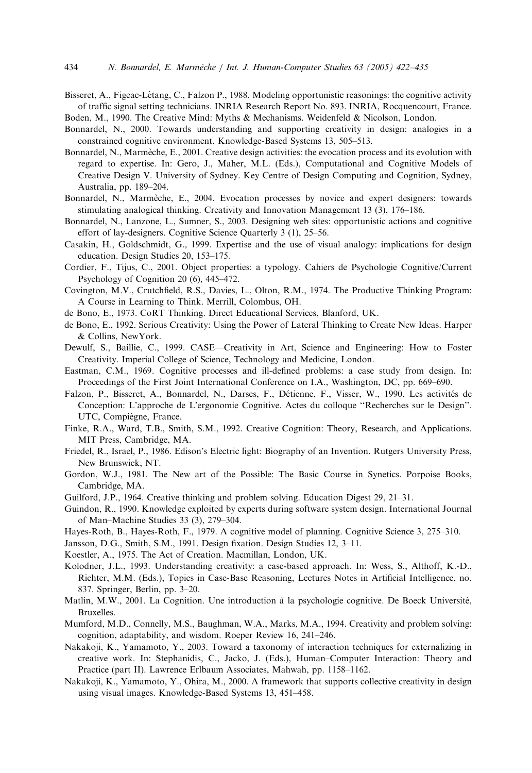- <span id="page-12-0"></span>Bisseret, A., Figeac-Létang, C., Falzon P., 1988. Modeling opportunistic reasonings: the cognitive activity of traffic signal setting technicians. INRIA Research Report No. 893. INRIA, Rocquencourt, France. Boden, M., 1990. The Creative Mind: Myths & Mechanisms. Weidenfeld & Nicolson, London.
- Bonnardel, N., 2000. Towards understanding and supporting creativity in design: analogies in a constrained cognitive environment. Knowledge-Based Systems 13, 505–513.
- Bonnardel, N., Marmèche, E., 2001. Creative design activities: the evocation process and its evolution with regard to expertise. In: Gero, J., Maher, M.L. (Eds.), Computational and Cognitive Models of Creative Design V. University of Sydney. Key Centre of Design Computing and Cognition, Sydney, Australia, pp. 189–204.
- Bonnardel, N., Marmèche, E., 2004. Evocation processes by novice and expert designers: towards stimulating analogical thinking. Creativity and Innovation Management 13 (3), 176–186.
- Bonnardel, N., Lanzone, L., Sumner, S., 2003. Designing web sites: opportunistic actions and cognitive effort of lay-designers. Cognitive Science Quarterly 3 (1), 25–56.
- Casakin, H., Goldschmidt, G., 1999. Expertise and the use of visual analogy: implications for design education. Design Studies 20, 153–175.
- Cordier, F., Tijus, C., 2001. Object properties: a typology. Cahiers de Psychologie Cognitive/Current Psychology of Cognition 20 (6), 445–472.
- Covington, M.V., Crutchfield, R.S., Davies, L., Olton, R.M., 1974. The Productive Thinking Program: A Course in Learning to Think. Merrill, Colombus, OH.
- de Bono, E., 1973. CoRT Thinking. Direct Educational Services, Blanford, UK.
- de Bono, E., 1992. Serious Creativity: Using the Power of Lateral Thinking to Create New Ideas. Harper & Collins, NewYork.
- Dewulf, S., Baillie, C., 1999. CASE—Creativity in Art, Science and Engineering: How to Foster Creativity. Imperial College of Science, Technology and Medicine, London.
- Eastman, C.M., 1969. Cognitive processes and ill-defined problems: a case study from design. In: Proceedings of the First Joint International Conference on I.A., Washington, DC, pp. 669–690.
- Falzon, P., Bisseret, A., Bonnardel, N., Darses, F., Détienne, F., Visser, W., 1990. Les activités de Conception: L'approche de L'ergonomie Cognitive. Actes du colloque ''Recherches sur le Design''. UTC, Compiègne, France.
- Finke, R.A., Ward, T.B., Smith, S.M., 1992. Creative Cognition: Theory, Research, and Applications. MIT Press, Cambridge, MA.
- Friedel, R., Israel, P., 1986. Edison's Electric light: Biography of an Invention. Rutgers University Press, New Brunswick, NT.
- Gordon, W.J., 1981. The New art of the Possible: The Basic Course in Synetics. Porpoise Books, Cambridge, MA.
- Guilford, J.P., 1964. Creative thinking and problem solving. Education Digest 29, 21–31.
- Guindon, R., 1990. Knowledge exploited by experts during software system design. International Journal of Man–Machine Studies 33 (3), 279–304.
- Hayes-Roth, B., Hayes-Roth, F., 1979. A cognitive model of planning. Cognitive Science 3, 275–310.
- Jansson, D.G., Smith, S.M., 1991. Design fixation. Design Studies 12, 3–11.
- Koestler, A., 1975. The Act of Creation. Macmillan, London, UK.
- Kolodner, J.L., 1993. Understanding creativity: a case-based approach. In: Wess, S., Althoff, K.-D., Richter, M.M. (Eds.), Topics in Case-Base Reasoning, Lectures Notes in Artificial Intelligence, no. 837. Springer, Berlin, pp. 3–20.
- Matlin, M.W., 2001. La Cognition. Une introduction à la psychologie cognitive. De Boeck Université, Bruxelles.
- Mumford, M.D., Connelly, M.S., Baughman, W.A., Marks, M.A., 1994. Creativity and problem solving: cognition, adaptability, and wisdom. Roeper Review 16, 241–246.
- Nakakoji, K., Yamamoto, Y., 2003. Toward a taxonomy of interaction techniques for externalizing in creative work. In: Stephanidis, C., Jacko, J. (Eds.), Human–Computer Interaction: Theory and Practice (part II). Lawrence Erlbaum Associates, Mahwah, pp. 1158–1162.
- Nakakoji, K., Yamamoto, Y., Ohira, M., 2000. A framework that supports collective creativity in design using visual images. Knowledge-Based Systems 13, 451–458.